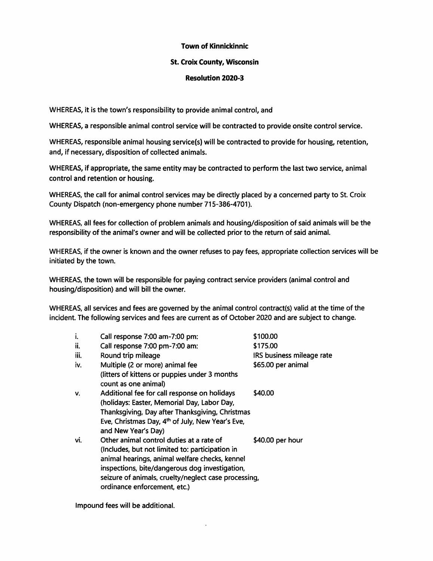## Town of Kinnickinnic

## St. Croix County, Wisconsin

## Resolution 2020-3

WHEREAS, it is the town's responsibility to provide animal control, and

WHEREAS, a responsible animal control service will be contracted to provide onsite control service.

WHEREAS, responsible animal housing service(s) will be contracted to provide for housing, retention, and, if necessary, disposition of collected animals.

WHEREAS, if appropriate, the same entity may be contracted to perform the last two service, animal control and retention or housing.

WHEREAS, the call for animal control services may be directly placed by a concerned party to St. Croix County Dispatch (non-emergency phone number 715-386-4701).

WHEREAS, all fees for collection of problem animals and housing/disposition of said animals will be the responsibility of the animal's owner and will be collected prior to the return of said animal.

WHEREAS, if the owner is known and the owner refuses to pay fees, appropriate collection services will be initiated by the town.

WHEREAS, the town will be responsible for paying contract service providers (animal control and housing/disposition) and will bill the owner.

WHEREAS, all services and fees are governed by the animal control contract(s) valid at the time of the incident. The following services and fees are current as of October 2020 and are subject to change.

| i.   | Call response 7:00 am-7:00 pm:                                                      | \$100.00                  |
|------|-------------------------------------------------------------------------------------|---------------------------|
| ii.  | Call response 7:00 pm-7:00 am:                                                      | \$175.00                  |
| iii. | Round trip mileage                                                                  | IRS business mileage rate |
| iv.  | Multiple (2 or more) animal fee                                                     | \$65.00 per animal        |
|      | (litters of kittens or puppies under 3 months<br>count as one animal)               |                           |
| v.   | Additional fee for call response on holidays                                        | \$40.00                   |
|      | (holidays: Easter, Memorial Day, Labor Day,                                         |                           |
|      | Thanksgiving, Day after Thanksgiving, Christmas                                     |                           |
|      | Eve, Christmas Day, 4 <sup>th</sup> of July, New Year's Eve,<br>and New Year's Day) |                           |
| vi.  | Other animal control duties at a rate of                                            | \$40.00 per hour          |
|      | (Includes, but not limited to: participation in                                     |                           |
|      | animal hearings, animal welfare checks, kennel                                      |                           |
|      | inspections, bite/dangerous dog investigation,                                      |                           |
|      | seizure of animals, cruelty/neglect case processing,                                |                           |
|      | ordinance enforcement, etc.)                                                        |                           |
|      |                                                                                     |                           |

Impound fees will be additional.